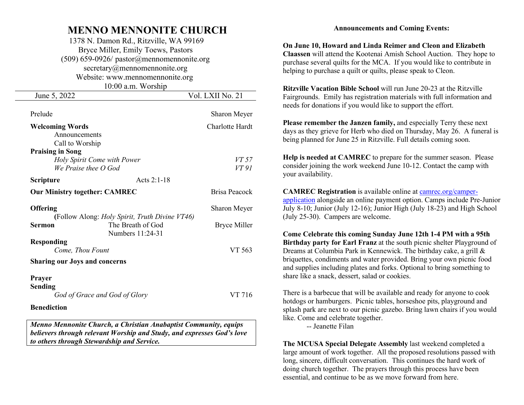## MENNO MENNONITE CHURCH

 1378 N. Damon Rd., Ritzville, WA 99169 Bryce Miller, Emily Toews, Pastors (509) 659-0926/ pastor@mennomennonite.org secretary@mennomennonite.org Website: www.mennomennonite.org 10:00 a.m. Worship

| June 5, 2022                         |                                                | Vol. LXII No. 21    |
|--------------------------------------|------------------------------------------------|---------------------|
|                                      |                                                |                     |
| Prelude                              |                                                | Sharon Meyer        |
| <b>Welcoming Words</b>               |                                                | Charlotte Hardt     |
| Announcements                        |                                                |                     |
| Call to Worship                      |                                                |                     |
| <b>Praising in Song</b>              |                                                |                     |
| Holy Spirit Come with Power          |                                                | VT 57               |
| We Praise thee $O$ God               |                                                | VT 91               |
| <b>Scripture</b>                     | Acts 2:1-18                                    |                     |
| <b>Our Ministry together: CAMREC</b> |                                                | Brisa Peacock       |
| <b>Offering</b>                      |                                                | Sharon Meyer        |
|                                      | (Follow Along: Holy Spirit, Truth Divine VT46) |                     |
| Sermon                               | The Breath of God<br>Numbers 11:24-31          | <b>Bryce Miller</b> |
| <b>Responding</b>                    |                                                |                     |
| Come, Thou Fount                     |                                                | VT 563              |
| <b>Sharing our Joys and concerns</b> |                                                |                     |
| <b>Prayer</b>                        |                                                |                     |
| <b>Sending</b>                       |                                                |                     |
| God of Grace and God of Glory        |                                                | VT 716              |
| <b>Benediction</b>                   |                                                |                     |
|                                      |                                                |                     |

Menno Mennonite Church, a Christian Anabaptist Community, equips believers through relevant Worship and Study, and expresses God's love to others through Stewardship and Service.

## Announcements and Coming Events:

On June 10, Howard and Linda Reimer and Cleon and Elizabeth Claassen will attend the Kootenai Amish School Auction. They hope to purchase several quilts for the MCA. If you would like to contribute in helping to purchase a quilt or quilts, please speak to Cleon.

Ritzville Vacation Bible School will run June 20-23 at the Ritzville Fairgrounds. Emily has registration materials with full information and needs for donations if you would like to support the effort.

Please remember the Janzen family, and especially Terry these next days as they grieve for Herb who died on Thursday, May 26. A funeral is being planned for June 25 in Ritzville. Full details coming soon.

Help is needed at CAMREC to prepare for the summer season. Please consider joining the work weekend June 10-12. Contact the camp with your availability.

CAMREC Registration is available online at camrec.org/camperapplication alongside an online payment option. Camps include Pre-Junior July 8-10; Junior (July 12-16); Junior High (July 18-23) and High School (July 25-30). Campers are welcome.

Come Celebrate this coming Sunday June 12th 1-4 PM with a 95th Birthday party for Earl Franz at the south picnic shelter Playground of Dreams at Columbia Park in Kennewick. The birthday cake, a grill & briquettes, condiments and water provided. Bring your own picnic food and supplies including plates and forks. Optional to bring something to share like a snack, dessert, salad or cookies.

There is a barbecue that will be available and ready for anyone to cook hotdogs or hamburgers. Picnic tables, horseshoe pits, playground and splash park are next to our picnic gazebo. Bring lawn chairs if you would like. Come and celebrate together.

-- Jeanette Filan

The MCUSA Special Delegate Assembly last weekend completed a large amount of work together. All the proposed resolutions passed with long, sincere, difficult conversation. This continues the hard work of doing church together. The prayers through this process have been essential, and continue to be as we move forward from here.